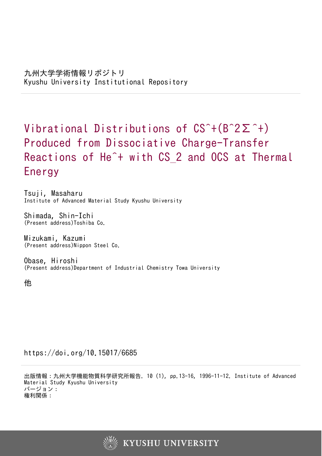# Vibrational Distributions of CS^+(B^2Σ^+) Produced from Dissociative Charge-Transfer Reactions of He<sup>2+</sup> with CS 2 and OCS at Thermal Energy

Tsuji, Masaharu Institute of Advanced Material Study Kyushu University

Shimada, Shin-Ichi (Present address)Toshiba Co.

Mizukami, Kazumi (Present address)Nippon Steel Co.

Obase, Hiroshi (Present address)Department of Industrial Chemistry Towa University

他

https://doi.org/10.15017/6685

出版情報:九州大学機能物質科学研究所報告. 10 (1), pp.13-16, 1996-11-12. Institute of Advanced Material Study Kyushu University バージョン: 権利関係:

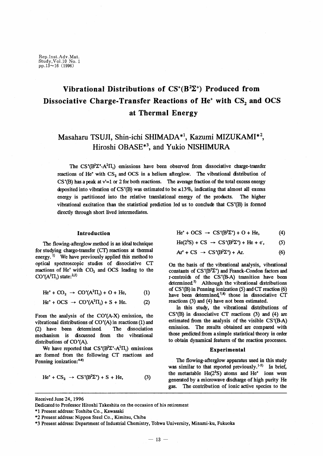Rep.Inst.Adv.Mat.<br>Study,Vol.10 No.1<br>pp.13~16 (1996)

## Vibrational Distributions of  $CS^*(B^2\Sigma^+)$  Produced from Dissociative Charge-Transfer Reactions of He<sup>+</sup> with CS, and OCS at Thermal Energy

### Masaharu TSUJI, Shin-ichi SHIMADA<sup>\*1</sup>, Kazumi MIZUKAMI<sup>\*2</sup>, Hiroshi OBASE<sup>\*3</sup>, and Yukio NISHIMURA

The  $CS^{*}(B^{2}\Sigma^{+}A^{2}\Pi_{i})$  emissions have been observed from dissociative charge-transfer reactions of He<sup>+</sup> with CS<sub>2</sub> and OCS in a helium afterglow. The vibrational distribution of  $CS^*(B)$  has a peak at v'=1 or 2 for both reactions. The average fraction of the total excess energy deposited into vibration of CS<sup>\*</sup>(B) was estimated to be  $\leq 13\%$ , indicating that almost all excess energy is partitioned into the relative translational energy of the products. The higher vibrational excitation than the statistical prediction led us to conclude that CS<sup>+</sup>(B) is formed directly through short lived intermediates.

#### Introduction

The flowing-afterglow method is an ideal technique for studying charge-transfer (CT) reactions at thermal energy.<sup>1)</sup> We have previously applied this method to optical spectroscopic studies of dissociative CT reactions of He<sup>+</sup> with CO<sub>2</sub> and OCS leading to the  $CO^+(A^2\Pi_i)$  state:<sup>2,3)</sup>

$$
\text{He}^+ + \text{CO}_2 \rightarrow \text{CO}^+(\text{A}^2\overline{\text{H}}_i) + \text{O} + \text{He}, \tag{1}
$$

$$
\text{He}^+ + \text{OCS} \rightarrow \text{CO}^+(\text{A}^2\Pi_i) + \text{S} + \text{He.} \tag{2}
$$

From the analysis of the  $CO<sup>+</sup>(A-X)$  emission, the vibrational distributions of  $CO<sup>+</sup>(A)$  in reactions (1) and (2) have been determined. The dissociation mechanism is discussed from the vibrational distributions of CO<sup>+</sup>(A).

We have reported that  $CS^*(B^2\Sigma^* A^2\Pi_i)$  emissions are formed from the following CT reactions and Penning ionization:<sup>4-8)</sup>

$$
\text{He}^+ + \text{CS}_2 \rightarrow \text{CS}^+(\text{B}^2\Sigma^+) + \text{S} + \text{He}, \tag{3}
$$

 $He^+ + OCS \rightarrow CS^+(B^2\Sigma^+) + O + He$ ,  $(4)$ 

 $He(2^{3}S) + CS \rightarrow CS^{+}(B^{2}\Sigma^{+}) + He + e$ ,  $(5)$ 

$$
Ar^+ + CS \rightarrow CS^+(B^2\Sigma^+) + Ar. \tag{6}
$$

On the basis of the vibrational analysis, vibrational constants of  $CS^*(B^2\Sigma^+)$  and Franck-Condon factors and r-centroids of the CS<sup>+</sup>(B-A) transition have been determined<sup>5</sup> Although the vibrational distributions of  $CS^+(B)$  in Penning ionization (5) and CT reaction (6) have been determined,<sup>7,8)</sup> those in dissociative CT reactions (3) and (4) have not been estimated.

In this study, the vibrational distributions of  $CS<sup>+</sup>(B)$  in dissociative CT reactions (3) and (4) are estimated from the analysis of the visible CS<sup>+</sup>(B-A) emission. The results obtained are compared with those predicted from a simple statistical theory in order to obtain dynamical features of the reaction processes.

#### Experimental

The flowing-afterglow apparatus used in this study was similar to that reported previously.<sup>1-5)</sup> In brief, the metastable He(23S) atoms and He<sup>+</sup> ions were generated by a microwave discharge of high purity He gas. The contribution of ionic active species to the

Received June 24, 1996

Dedicated to Professor Hitoshi Takeshita on the occasion of his retirement

\*1 Present address: Toshiba Co., Kawasaki

<sup>\*2</sup> Present address: Nippon Steel Co., Kimitsu, Chiba

<sup>\*3</sup> Present address: Department of Industrial Chemistry, Tohwa University, Minami-ku, Fukuoka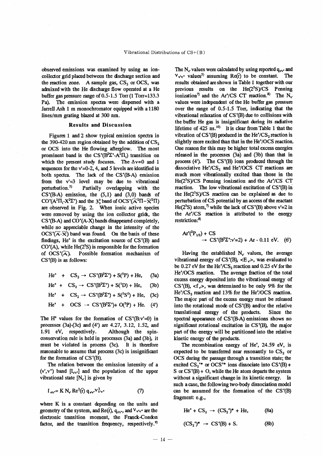observed emissions was examined by using an ioncollector grid placed between the discharge section and the reaction zone. A sample gas,  $CS_2$  or OCS, was admixed with the He discharge flow operated at a He buffer gas pressure range of  $0.5$ -1.5 Torr (1 Torr=133.3) Pa). The emission spectra were dispersed with a Jarrell Ash 1 m monochromator equipped with a 1180 lines/mm grating blazed at 300 nm.

#### **Results and Discussion**

Figures 1 and 2 show typical emission spectra in the 390-420 nm region obtained by the addition of  $CS<sub>2</sub>$ or OCS into the He flowing afterglow. The most prominent band is the  $CS<sup>+</sup>(B<sup>2</sup>\Sigma<sup>+</sup>-A<sup>2</sup>\Pi<sub>i</sub>)$  transition on which the present study focuses. The  $\Delta v=0$  and 1 sequences for the  $v'=0-2$ , 4, and 5 levels are identified in both spectra. The lack of the CS<sup>+</sup>(B-A) emission from the  $v'=3$  level may be due to vibrational perturbation.<sup>5)</sup> Partially overlapping with the  $CS<sup>+</sup>(BA)$  emission, the  $(5,1)$  and  $(3,0)$  bands of CO<sup>+</sup>(A<sup>2</sup> $\Pi_i$ -X<sup>2</sup> $\Sigma$ <sup>+</sup>) and the 3<sup>°</sup><sub>3</sub> band of OCS<sup>+</sup>( $\widehat{A}$ <sup>2</sup> $\Pi$ – $\widehat{X}$ <sup>2</sup> $\Pi$ ) are observed in Fig. 2. When ionic active species were removed by using the ion collector grids, the  $CS<sup>+</sup>(B-A)$  and  $CO<sup>+</sup>(A-X)$  bands disappeared completely, while no appreciable change in the intensity of the  $OCS^{\dagger}(\widetilde{A} - \widetilde{X})$  band was found On the basis of these findings, He<sup>+</sup> is the excitation source of CS<sup>+</sup>(B) and  $CO<sup>+</sup>(A)$ , while He( $2<sup>3</sup>S$ ) is responsible for the formation of  $OCS^*(\widehat{A})$ . Possible formation mechanism of  $CS^*(B)$  is as follows:

He<sup>+</sup> + CS<sub>2</sub>  $\rightarrow$  CS<sup>+</sup>(B<sup>2</sup> $\Sigma$ <sup>+</sup>) + S<sup>(3</sup>P) + He,  $(3a)$ 

He<sup>+</sup> + CS<sub>2</sub>  $\rightarrow$  CS<sup>+</sup>(B<sup>2</sup> $\Sigma$ <sup>+</sup>) + S(<sup>1</sup>D) + He,  $(3b)$ 

He<sup>+</sup> + CS<sub>2</sub>  $\rightarrow$  CS<sup>+</sup>(B<sup>2</sup> $\Sigma$ <sup>+</sup>) + S(<sup>5</sup>S<sup>0</sup>) + He,  $(3c)$ 

$$
\text{He}^{\star} + \text{OCS} \rightarrow \text{CS}^{\star}(\text{B}^{2}\Sigma^{\star}) + \text{O}(^{3}\text{P}) + \text{He}. \quad (4^{\circ})
$$

The H<sup>°</sup> values for the formation of  $CS<sup>+</sup>(B:v'=0)$  in processes (3a)-(3c) and (4') are 4.27, 3.12, 1.52, and 1.91 eV, respectively. Although the spinconservation rule is held in processes (3a) and (3b), it must be violated in process (3c). It is therefore reasonable to assume that process (3c) is insignificant for the formation of  $CS^+(B)$ .

The relation between the emission intensity of a  $(v', v'')$  band  $[I_{v'v'}]$  and the population of the upper vibrational state  $[N_{v}]$  is given by

$$
I_{\mathbf{v}\mathbf{v}} = K N_{\mathbf{v}} \text{ Re}^2(\mathbf{\bar{r}}) \mathbf{q}_{\mathbf{v}\mathbf{v}} \mathbf{v}_{\mathbf{v}\mathbf{v}}^3
$$
 (7)

where K is a constant depending on the units and geometry of the system, and Re( $\bar{r}$ ),  $q_{\nu v}$ , and  $V_{v'v''}$  are the electronic transition moment, the Franck-Condon factor, and the transition frequency, respectively.<sup>9)</sup>

The N<sub>v</sub> values were calculated by using reported  $q_{\nu\nu}$  and  $V_{\nu'\nu''}$  values<sup>5)</sup> assuming Ref<sub>1</sub> to be constant. The results obtained are shown in Table 1 together with our previous results on the  $He(2^{3}S)/CS$  Penning ionization<sup>7</sup> and the Ar<sup>+</sup>/CS CT reaction.<sup>8</sup>) The N<sub>v</sub>. values were independent of the He buffer gas pressure over the range of 0.5-1.5 Torr, indicating that the vibrational relaxation of CS<sup>+</sup>(B) due to collisions with the buffer He gas is insignificant during its radiative lifetime of  $425$  ns.<sup>10</sup> It is clear from Table 1 that the vibration of CS<sup>+</sup>(B) produced in the He<sup>+</sup>/CS<sub>2</sub> reaction is slightly more excited than that in the He<sup>+</sup>/OCS reaction. One reason for this may be higher total excess energies released in the processes (3a) and (3b) than that in process  $(4')$ . The CS<sup>+</sup>(B) ions produced through the dissociative  $He<sup>+/CS</sup>_{2}$  and  $He<sup>+/OCS</sup>$  CT reactions are much more vibrationally excited than those in the  $He(2^{3}S)/CS$  Penning ionization and the Ar<sup> $\dagger$ </sup>/CS CT reaction. The low vibrational excitation of CS<sup>+</sup>(B) in the  $He(2^{3}S)/CS$  reaction can be explained as due to perturbation of CS potential by an access of the reactant He( $2^3$ S) atom,<sup>7</sup> while the lack of CS<sup>+</sup>(B) above v'=2 in the Ar<sup>+</sup>/CS reaction is attributed to the energy restriction:<sup>8)</sup>

$$
Ar^{\dagger}(^{2}P_{1/2}) + CS
$$
  
\n
$$
\rightarrow CS^{\dagger}(B^{2}\Sigma^{\dagger}:v'=2) + Ar - 0.11 eV.
$$
 (6')

Having the established  $N_v$  values, the average vibrational energy of  $CS<sup>+</sup>(B)$ , <E<sub>v</sub>>, was evaluated to be 0.27 eV for the He<sup>+</sup>/CS<sub>2</sub> reaction and 0.25 eV for the He\*/OCS reaction. The average fraction of the total excess energy deposited into the vibrational energy of  $CS<sup>+</sup>(B)$ , <f<sub>v</sub>>, was determined to be only 9% for the  $He<sup>+/CS</sup>2$  reaction and 13% for the He<sup>+</sup>/OCS reaction. The major part of the excess energy must be released into the rotational mode of CS<sup>+</sup>(B) and/or the relative translational energy of the products. Since the spectral appearance of CS<sup>+</sup>(B-A) emissions shows no significant rotational excitation in CS<sup>+</sup>(B), the major part of the energy will be partitioned into the relative kinetic energy of the products.

The recombination energy of He<sup>+</sup>, 24.59 eV, is expected to be transferred near resonantly to  $CS_2$  or OCS during the passage through a transition state; the excited  $CS_2^{**}$  or OCS<sup>+\*</sup> ions dissociate into CS<sup>+</sup>(B) + S or  $CS^*(B) + O$ , while the He atom departs the system without a significant change in its kinetic energy. In such a case, the following two-body dissociation model can be assumed for the formation of the CS'(B) fragment: e.g.,

$$
\text{He}^+ + \text{CS}_2 \rightarrow (\text{CS}_2^{\bullet})^* + \text{He}, \tag{8a}
$$

$$
(CS2+)* \rightarrow CS+(B) + S.
$$
 (8b)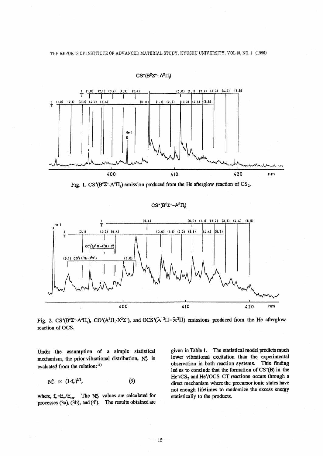THE REPORTS OF INSTITUTE OF ADVANCED MATERIAL STUDY, KYUSHU UNIVERSITY. VOL 10, NO. 1 (1996)



 $CS^+(B^2\Sigma^+ - A^2\Pi)$ 

Fig. 1. CS<sup>+</sup>(B<sup>2</sup> $\Sigma$ <sup>+</sup>-A<sup>2</sup> $\Pi$ <sub>i</sub>) emission produced from the He afterglow reaction of CS<sub>2</sub>.

#### $CS^+(B^2\Sigma^+ - A^2\Pi_i)$



Fig. 2. CS<sup>+</sup>(B<sup>2</sup>Z<sup>+</sup>-A<sup>2</sup>II<sub>i</sub>), CO<sup>+</sup>(A<sup>2</sup>II<sub>i</sub>-X<sup>2</sup>Z<sup>+</sup>), and OCS<sup>+</sup>( $\widetilde{A}$ <sup>2</sup>II– $\widetilde{X}$ <sup>2</sup>II) emissions produced from the He afterglow reaction of OCS.

Under the assumption of a simple statistical mechanism, the prior vibrational distribution, No. is evaluated from the relation:<sup>11)</sup>

$$
N_{\nu}^0 \propto (1-f_{\nu})^{3/2}, \hspace{1.5cm} (9)
$$

where,  $f_v = E_v / E_{tot}$ . The  $N_v^0$  values are calculated for processes (3a), (3b), and (4'). The results obtained are given in Table 1. The statistical model predicts much lower vibrational excitation than the experimental observation in both reaction systems. This finding led us to conclude that the formation of CS<sup>+</sup>(B) in the He\*/CS<sub>2</sub> and He\*/OCS CT reactions occurs through a direct mechanism where the precursor ionic states have not enough lifetimes to randomize the excess energy statistically to the products.